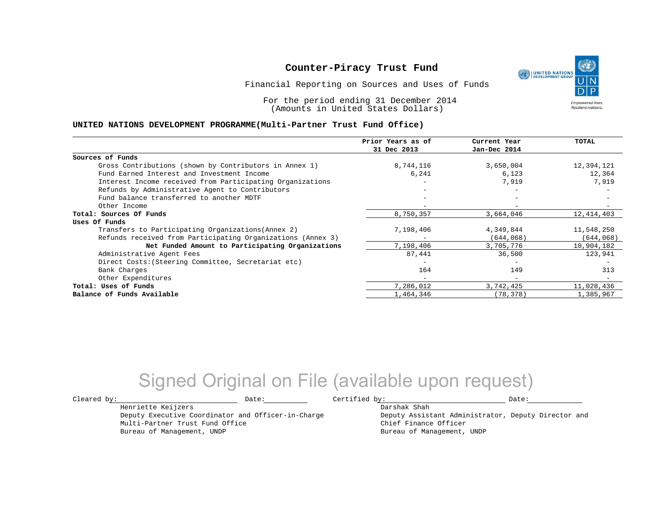Financial Reporting on Sources and Uses of Funds

For the period ending 31 December 2014 (Amounts in United States Dollars)

#### **UNITED NATIONS DEVELOPMENT PROGRAMME(Multi-Partner Trust Fund Office)**

|                                                             | Prior Years as of | Current Year             | <b>TOTAL</b> |
|-------------------------------------------------------------|-------------------|--------------------------|--------------|
|                                                             | 31 Dec 2013       | Jan-Dec 2014             |              |
| Sources of Funds                                            |                   |                          |              |
| Gross Contributions (shown by Contributors in Annex 1)      | 8,744,116         | 3,650,004                | 12,394,121   |
| Fund Earned Interest and Investment Income                  | 6,241             | 6,123                    | 12,364       |
| Interest Income received from Participating Organizations   |                   | 7,919                    | 7,919        |
| Refunds by Administrative Agent to Contributors             |                   |                          |              |
| Fund balance transferred to another MDTF                    |                   | $-$                      |              |
| Other Income                                                |                   |                          |              |
| Total: Sources Of Funds                                     | 8,750,357         | 3,664,046                | 12, 414, 403 |
| Uses Of Funds                                               |                   |                          |              |
| Transfers to Participating Organizations (Annex 2)          | 7,198,406         | 4,349,844                | 11,548,250   |
| Refunds received from Participating Organizations (Annex 3) |                   | (644, 068)               | (644, 068)   |
| Net Funded Amount to Participating Organizations            | 7,198,406         | 3,705,776                | 10,904,182   |
| Administrative Agent Fees                                   | 87,441            | 36,500                   | 123,941      |
| Direct Costs: (Steering Committee, Secretariat etc)         |                   |                          |              |
| Bank Charges                                                | 164               | 149                      | 313          |
| Other Expenditures                                          | $-$               | $\overline{\phantom{0}}$ |              |
| Total: Uses of Funds                                        | 7,286,012         | 3,742,425                | 11,028,436   |
| Balance of Funds Available                                  | 1,464,346         | (78, 378)                | 1,385,967    |

## Signed Original on File (available upon request)

 $\texttt{Cleared by:}\footnotesize \begin{minipage}{0.9\linewidth} \texttt{Date:}\footnotesize \begin{minipage}{0.9\linewidth} \texttt{Date:}\footnotesize \begin{minipage}{0.9\linewidth} \end{minipage} \end{minipage}$ 

Henriette Keijzers

Multi-Partner Trust Fund Office Bureau of Management, UNDP

Deputy Executive Coordinator and Officer-in-Charge

Darshak Shah

Deputy Assistant Administrator, Deputy Director and Chief Finance Officer Bureau of Management, UNDP

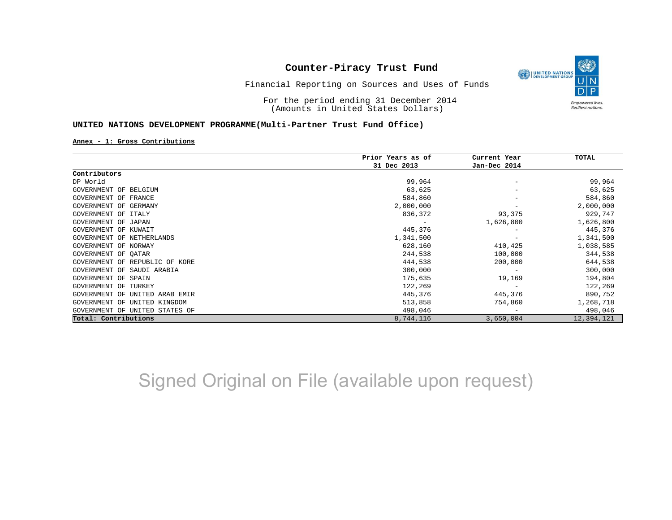

Financial Reporting on Sources and Uses of Funds

For the period ending 31 December 2014 (Amounts in United States Dollars)

#### **UNITED NATIONS DEVELOPMENT PROGRAMME(Multi-Partner Trust Fund Office)**

**Annex - 1: Gross Contributions**

|                                   | Prior Years as of | Current Year             | TOTAL      |
|-----------------------------------|-------------------|--------------------------|------------|
|                                   | 31 Dec 2013       | Jan-Dec 2014             |            |
| Contributors                      |                   |                          |            |
| DP World                          | 99,964            |                          | 99,964     |
| GOVERNMENT OF BELGIUM             | 63,625            |                          | 63,625     |
| GOVERNMENT OF FRANCE              | 584,860           |                          | 584,860    |
| GOVERNMENT OF GERMANY             | 2,000,000         |                          | 2,000,000  |
| GOVERNMENT OF ITALY               | 836,372           | 93,375                   | 929,747    |
| GOVERNMENT OF JAPAN               |                   | 1,626,800                | 1,626,800  |
| GOVERNMENT OF KUWAIT              | 445,376           |                          | 445,376    |
| GOVERNMENT OF NETHERLANDS         | 1,341,500         |                          | 1,341,500  |
| GOVERNMENT OF NORWAY              | 628,160           | 410,425                  | 1,038,585  |
| GOVERNMENT OF QATAR               | 244,538           | 100,000                  | 344,538    |
| GOVERNMENT OF REPUBLIC OF KORE    | 444,538           | 200,000                  | 644,538    |
| GOVERNMENT OF SAUDI ARABIA        | 300,000           |                          | 300,000    |
| GOVERNMENT OF SPAIN               | 175,635           | 19,169                   | 194,804    |
| GOVERNMENT OF<br>TURKEY           | 122,269           |                          | 122,269    |
| GOVERNMENT OF<br>UNITED ARAB EMIR | 445,376           | 445,376                  | 890,752    |
| GOVERNMENT OF<br>UNITED KINGDOM   | 513,858           | 754,860                  | 1,268,718  |
| GOVERNMENT OF UNITED STATES OF    | 498,046           | $\overline{\phantom{m}}$ | 498,046    |
| Total: Contributions              | 8,744,116         | 3,650,004                | 12,394,121 |

Signed Original on File (available upon request)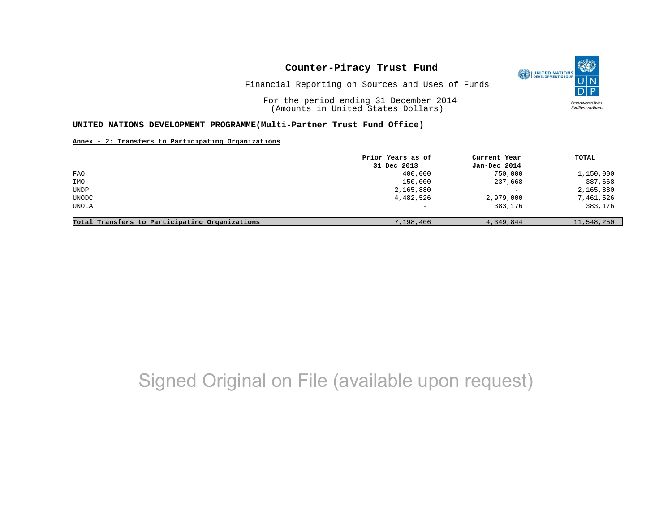

Financial Reporting on Sources and Uses of Funds

For the period ending 31 December 2014 (Amounts in United States Dollars)

#### **UNITED NATIONS DEVELOPMENT PROGRAMME(Multi-Partner Trust Fund Office)**

#### **Annex - 2: Transfers to Participating Organizations**

|                                                | Prior Years as of        | Current Year             | TOTAL      |
|------------------------------------------------|--------------------------|--------------------------|------------|
|                                                | 31 Dec 2013              | Jan-Dec 2014             |            |
| <b>FAO</b>                                     | 400,000                  | 750,000                  | 1,150,000  |
| IMO                                            | 150,000                  | 237,668                  | 387,668    |
| UNDP                                           | 2,165,880                | $\overline{\phantom{m}}$ | 2,165,880  |
| UNODC                                          | 4,482,526                | 2,979,000                | 7,461,526  |
| UNOLA                                          | $\overline{\phantom{0}}$ | 383,176                  | 383,176    |
|                                                |                          |                          |            |
| Total Transfers to Participating Organizations | 7,198,406                | 4,349,844                | 11,548,250 |

# Signed Original on File (available upon request)